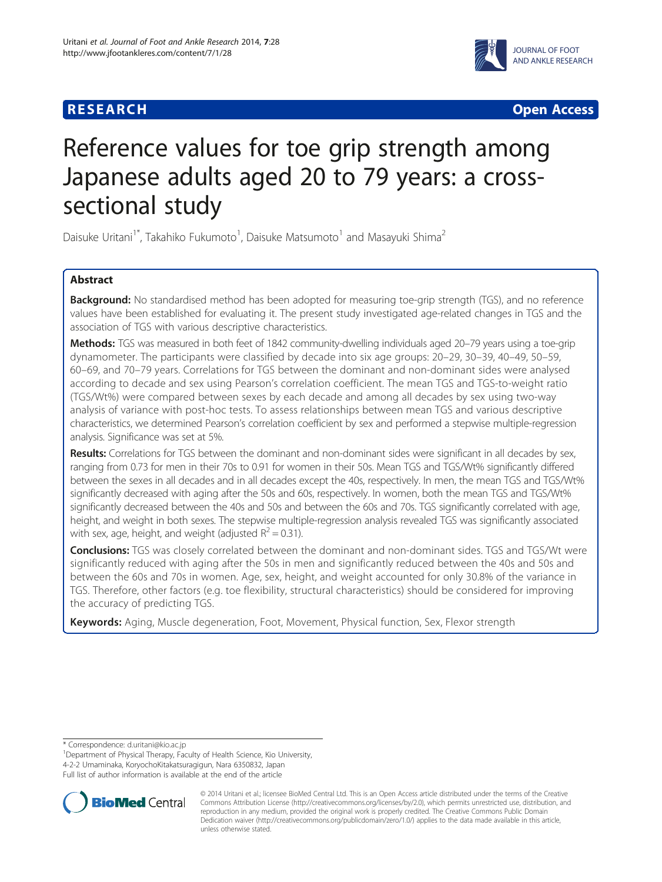# **RESEARCH CHEAR CHEAR CHEAR CHEAR CHEAR CHEAR CHEAR CHEAR CHEAR CHEAR CHEAR CHEAR CHEAR CHEAR CHEAR CHEAR CHEAR**



# Reference values for toe grip strength among Japanese adults aged 20 to 79 years: a crosssectional study

Daisuke Uritani<sup>1\*</sup>, Takahiko Fukumoto<sup>1</sup>, Daisuke Matsumoto<sup>1</sup> and Masayuki Shima<sup>2</sup>

# Abstract

Background: No standardised method has been adopted for measuring toe-grip strength (TGS), and no reference values have been established for evaluating it. The present study investigated age-related changes in TGS and the association of TGS with various descriptive characteristics.

Methods: TGS was measured in both feet of 1842 community-dwelling individuals aged 20–79 years using a toe-grip dynamometer. The participants were classified by decade into six age groups: 20–29, 30–39, 40–49, 50–59, 60–69, and 70–79 years. Correlations for TGS between the dominant and non-dominant sides were analysed according to decade and sex using Pearson's correlation coefficient. The mean TGS and TGS-to-weight ratio (TGS/Wt%) were compared between sexes by each decade and among all decades by sex using two-way analysis of variance with post-hoc tests. To assess relationships between mean TGS and various descriptive characteristics, we determined Pearson's correlation coefficient by sex and performed a stepwise multiple-regression analysis. Significance was set at 5%.

Results: Correlations for TGS between the dominant and non-dominant sides were significant in all decades by sex, ranging from 0.73 for men in their 70s to 0.91 for women in their 50s. Mean TGS and TGS/Wt% significantly differed between the sexes in all decades and in all decades except the 40s, respectively. In men, the mean TGS and TGS/Wt% significantly decreased with aging after the 50s and 60s, respectively. In women, both the mean TGS and TGS/Wt% significantly decreased between the 40s and 50s and between the 60s and 70s. TGS significantly correlated with age, height, and weight in both sexes. The stepwise multiple-regression analysis revealed TGS was significantly associated with sex, age, height, and weight (adjusted  $R^2 = 0.31$ ).

Conclusions: TGS was closely correlated between the dominant and non-dominant sides. TGS and TGS/Wt were significantly reduced with aging after the 50s in men and significantly reduced between the 40s and 50s and between the 60s and 70s in women. Age, sex, height, and weight accounted for only 30.8% of the variance in TGS. Therefore, other factors (e.g. toe flexibility, structural characteristics) should be considered for improving the accuracy of predicting TGS.

**Keywords:** Aging, Muscle degeneration, Foot, Movement, Physical function, Sex, Flexor strength

\* Correspondence: [d.uritani@kio.ac.jp](mailto:d.uritani@kio.ac.jp) <sup>1</sup>

<sup>1</sup>Department of Physical Therapy, Faculty of Health Science, Kio University,

4-2-2 Umaminaka, KoryochoKitakatsuragigun, Nara 6350832, Japan

Full list of author information is available at the end of the article



<sup>© 2014</sup> Uritani et al.; licensee BioMed Central Ltd. This is an Open Access article distributed under the terms of the Creative Commons Attribution License [\(http://creativecommons.org/licenses/by/2.0\)](http://creativecommons.org/licenses/by/2.0), which permits unrestricted use, distribution, and reproduction in any medium, provided the original work is properly credited. The Creative Commons Public Domain Dedication waiver [\(http://creativecommons.org/publicdomain/zero/1.0/](http://creativecommons.org/publicdomain/zero/1.0/)) applies to the data made available in this article, unless otherwise stated.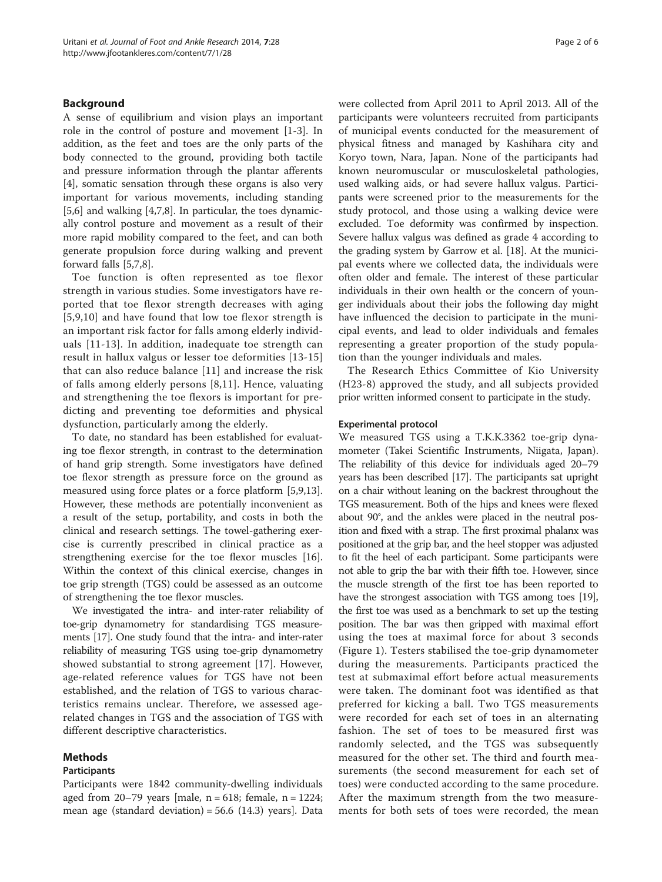# Background

A sense of equilibrium and vision plays an important role in the control of posture and movement [[1-3](#page-5-0)]. In addition, as the feet and toes are the only parts of the body connected to the ground, providing both tactile and pressure information through the plantar afferents [[4\]](#page-5-0), somatic sensation through these organs is also very important for various movements, including standing [[5,6\]](#page-5-0) and walking [[4,7,8\]](#page-5-0). In particular, the toes dynamically control posture and movement as a result of their more rapid mobility compared to the feet, and can both generate propulsion force during walking and prevent forward falls [[5,7,8\]](#page-5-0).

Toe function is often represented as toe flexor strength in various studies. Some investigators have reported that toe flexor strength decreases with aging [[5,9,10](#page-5-0)] and have found that low toe flexor strength is an important risk factor for falls among elderly individuals [[11](#page-5-0)-[13](#page-5-0)]. In addition, inadequate toe strength can result in hallux valgus or lesser toe deformities [\[13](#page-5-0)-[15](#page-5-0)] that can also reduce balance [[11](#page-5-0)] and increase the risk of falls among elderly persons [\[8,11](#page-5-0)]. Hence, valuating and strengthening the toe flexors is important for predicting and preventing toe deformities and physical dysfunction, particularly among the elderly.

To date, no standard has been established for evaluating toe flexor strength, in contrast to the determination of hand grip strength. Some investigators have defined toe flexor strength as pressure force on the ground as measured using force plates or a force platform [\[5,9,13](#page-5-0)]. However, these methods are potentially inconvenient as a result of the setup, portability, and costs in both the clinical and research settings. The towel-gathering exercise is currently prescribed in clinical practice as a strengthening exercise for the toe flexor muscles [\[16](#page-5-0)]. Within the context of this clinical exercise, changes in toe grip strength (TGS) could be assessed as an outcome of strengthening the toe flexor muscles.

We investigated the intra- and inter-rater reliability of toe-grip dynamometry for standardising TGS measurements [\[17](#page-5-0)]. One study found that the intra- and inter-rater reliability of measuring TGS using toe-grip dynamometry showed substantial to strong agreement [[17\]](#page-5-0). However, age-related reference values for TGS have not been established, and the relation of TGS to various characteristics remains unclear. Therefore, we assessed agerelated changes in TGS and the association of TGS with different descriptive characteristics.

# Methods

#### Participants

Participants were 1842 community-dwelling individuals aged from  $20-79$  years [male,  $n = 618$ ; female,  $n = 1224$ ; mean age (standard deviation) = 56.6 (14.3) years]. Data were collected from April 2011 to April 2013. All of the participants were volunteers recruited from participants of municipal events conducted for the measurement of physical fitness and managed by Kashihara city and Koryo town, Nara, Japan. None of the participants had known neuromuscular or musculoskeletal pathologies, used walking aids, or had severe hallux valgus. Participants were screened prior to the measurements for the study protocol, and those using a walking device were excluded. Toe deformity was confirmed by inspection. Severe hallux valgus was defined as grade 4 according to the grading system by Garrow et al. [[18\]](#page-5-0). At the municipal events where we collected data, the individuals were often older and female. The interest of these particular individuals in their own health or the concern of younger individuals about their jobs the following day might have influenced the decision to participate in the municipal events, and lead to older individuals and females representing a greater proportion of the study population than the younger individuals and males.

The Research Ethics Committee of Kio University (H23-8) approved the study, and all subjects provided prior written informed consent to participate in the study.

# Experimental protocol

We measured TGS using a T.K.K.3362 toe-grip dynamometer (Takei Scientific Instruments, Niigata, Japan). The reliability of this device for individuals aged 20–79 years has been described [[17](#page-5-0)]. The participants sat upright on a chair without leaning on the backrest throughout the TGS measurement. Both of the hips and knees were flexed about 90°, and the ankles were placed in the neutral position and fixed with a strap. The first proximal phalanx was positioned at the grip bar, and the heel stopper was adjusted to fit the heel of each participant. Some participants were not able to grip the bar with their fifth toe. However, since the muscle strength of the first toe has been reported to have the strongest association with TGS among toes [\[19](#page-5-0)], the first toe was used as a benchmark to set up the testing position. The bar was then gripped with maximal effort using the toes at maximal force for about 3 seconds (Figure [1\)](#page-2-0). Testers stabilised the toe-grip dynamometer during the measurements. Participants practiced the test at submaximal effort before actual measurements were taken. The dominant foot was identified as that preferred for kicking a ball. Two TGS measurements were recorded for each set of toes in an alternating fashion. The set of toes to be measured first was randomly selected, and the TGS was subsequently measured for the other set. The third and fourth measurements (the second measurement for each set of toes) were conducted according to the same procedure. After the maximum strength from the two measurements for both sets of toes were recorded, the mean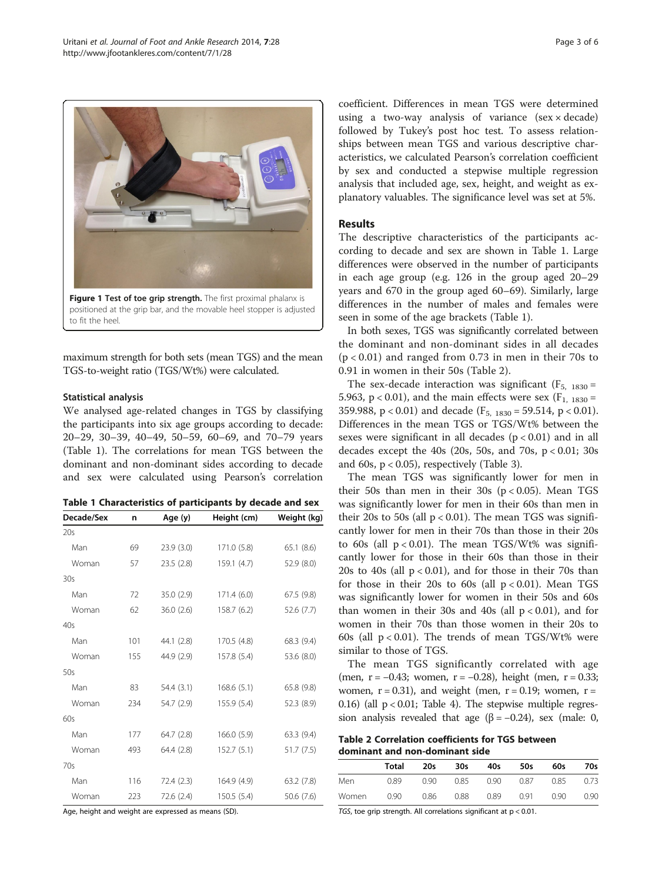<span id="page-2-0"></span>

maximum strength for both sets (mean TGS) and the mean TGS-to-weight ratio (TGS/Wt%) were calculated.

# Statistical analysis

We analysed age-related changes in TGS by classifying the participants into six age groups according to decade: 20–29, 30–39, 40–49, 50–59, 60–69, and 70–79 years (Table 1). The correlations for mean TGS between the dominant and non-dominant sides according to decade and sex were calculated using Pearson's correlation

| Decade/Sex | n   | Age (y)    | Height (cm) | Weight (kg) |
|------------|-----|------------|-------------|-------------|
| 20s        |     |            |             |             |
| Man        | 69  | 23.9(3.0)  | 171.0 (5.8) | 65.1(8.6)   |
| Woman      | 57  | 23.5(2.8)  | 159.1 (4.7) | 52.9 (8.0)  |
| 30s        |     |            |             |             |
| Man        | 72  | 35.0 (2.9) | 171.4(6.0)  | 67.5(9.8)   |
| Woman      | 62  | 36.0(2.6)  | 158.7 (6.2) | 52.6 (7.7)  |
| 40s        |     |            |             |             |
| Man        | 101 | 44.1(2.8)  | 170.5 (4.8) | 68.3 (9.4)  |
| Woman      | 155 | 44.9 (2.9) | 157.8 (5.4) | 53.6 (8.0)  |
| 50s        |     |            |             |             |
| Man        | 83  | 54.4 (3.1) | 168.6(5.1)  | 65.8(9.8)   |
| Woman      | 234 | 54.7 (2.9) | 155.9 (5.4) | 52.3 (8.9)  |
| 60s        |     |            |             |             |
| Man        | 177 | 64.7 (2.8) | 166.0(5.9)  | 63.3(9.4)   |
| Woman      | 493 | 64.4 (2.8) | 152.7 (5.1) | 51.7(7.5)   |
| 70s        |     |            |             |             |
| Man        | 116 | 72.4 (2.3) | 164.9 (4.9) | 63.2(7.8)   |
| Woman      | 223 | 72.6 (2.4) | 150.5 (5.4) | 50.6 (7.6)  |

Age, height and weight are expressed as means (SD).

coefficient. Differences in mean TGS were determined using a two-way analysis of variance  $(sex \times decade)$ followed by Tukey's post hoc test. To assess relationships between mean TGS and various descriptive characteristics, we calculated Pearson's correlation coefficient by sex and conducted a stepwise multiple regression analysis that included age, sex, height, and weight as explanatory valuables. The significance level was set at 5%.

# **Results**

The descriptive characteristics of the participants according to decade and sex are shown in Table 1. Large differences were observed in the number of participants in each age group (e.g. 126 in the group aged 20–29 years and 670 in the group aged 60–69). Similarly, large differences in the number of males and females were seen in some of the age brackets (Table 1).

In both sexes, TGS was significantly correlated between the dominant and non-dominant sides in all decades  $(p < 0.01)$  and ranged from 0.73 in men in their 70s to 0.91 in women in their 50s (Table 2).

The sex-decade interaction was significant  $(F_{5, 1830} =$ 5.963,  $p < 0.01$ ), and the main effects were sex ( $F_{1, 1830} =$ 359.988, p < 0.01) and decade ( $F_{5, 1830}$  = 59.514, p < 0.01). Differences in the mean TGS or TGS/Wt% between the sexes were significant in all decades  $(p < 0.01)$  and in all decades except the 40s (20s, 50s, and 70s,  $p < 0.01$ ; 30s and 60s,  $p < 0.05$ ), respectively (Table [3\)](#page-3-0).

The mean TGS was significantly lower for men in their 50s than men in their 30s  $(p < 0.05)$ . Mean TGS was significantly lower for men in their 60s than men in their 20s to 50s (all  $p < 0.01$ ). The mean TGS was significantly lower for men in their 70s than those in their 20s to 60s (all  $p < 0.01$ ). The mean TGS/Wt% was significantly lower for those in their 60s than those in their 20s to 40s (all  $p < 0.01$ ), and for those in their 70s than for those in their 20s to 60s (all  $p < 0.01$ ). Mean TGS was significantly lower for women in their 50s and 60s than women in their 30s and 40s (all  $p < 0.01$ ), and for women in their 70s than those women in their 20s to 60s (all  $p < 0.01$ ). The trends of mean TGS/Wt% were similar to those of TGS.

The mean TGS significantly correlated with age (men, r = −0.43; women, r = −0.28), height (men, r = 0.33; women,  $r = 0.31$ ), and weight (men,  $r = 0.19$ ; women,  $r =$ 0.16) (all  $p < 0.01$ ; Table [4\)](#page-3-0). The stepwise multiple regression analysis revealed that age ( $\beta$  = −0.24), sex (male: 0,

Table 2 Correlation coefficients for TGS between dominant and non-dominant side

|       | Total | 20s  | 30s  | 40s  | 50s  | 60s  | 70s  |
|-------|-------|------|------|------|------|------|------|
| Men   | 0.89  | 0.90 | 0.85 | 0.90 | 0.87 | 0.85 | 0.73 |
| Women | O 90  | 0.86 | 0.88 | 0.89 | 0.91 | 0.90 | 0.90 |

TGS, toe grip strength. All correlations significant at p < 0.01.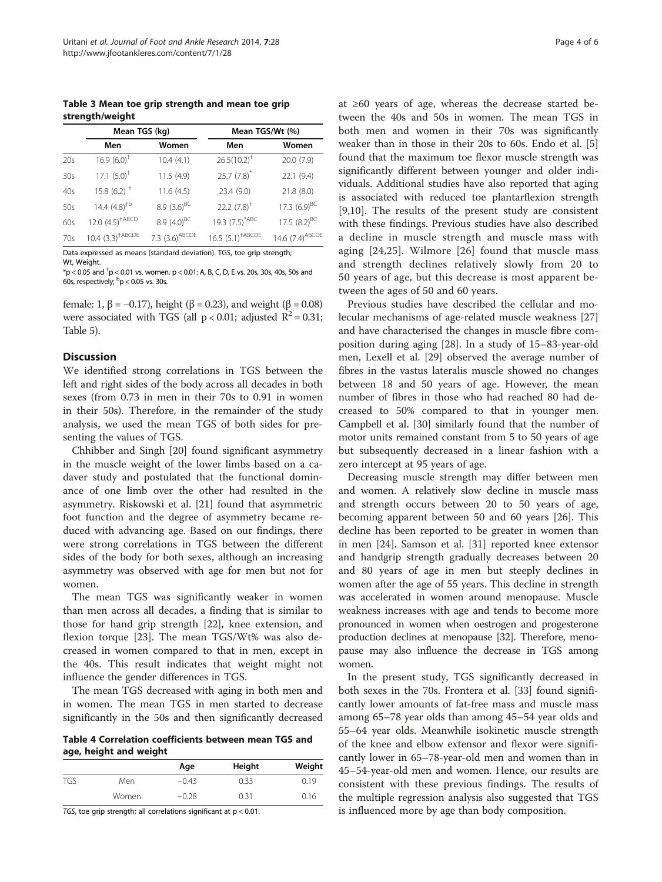<span id="page-3-0"></span>Table 3 Mean toe grip strength and mean toe grip strength/weight

|     | Mean TGS (kg)                  |                            | Mean TGS/Wt (%)                |                               |  |  |
|-----|--------------------------------|----------------------------|--------------------------------|-------------------------------|--|--|
|     | Men                            | Women                      | Men                            | Women                         |  |  |
| 20s | $16.9(6.0)^{t}$                | 10.4(4.1)                  | $26.5(10.2)^{T}$               | 20.0 (7.9)                    |  |  |
| 30s | $17.1~(5.0)^{+}$               | 11.5(4.9)                  | $25.7(7.8)^{*}$                | 22.1(9.4)                     |  |  |
| 40s | 15.8 (6.2) $^+$                | 11.6(4.5)                  | 23.4 (9.0)                     | 21.8(8.0)                     |  |  |
| 50s | 14.4 $(4.8)$ <sup>tb</sup>     | 8.9 $(3.6)^{BC}$           | $22.2(7.8)^{+}$                | 17.3 $(6.9)^{BC}$             |  |  |
| 60s | 12.0 $(4.5)$ <sup>+ABCD</sup>  | 8.9 $(4.0)^{BC}$           | 19.3 (7.5) <sup>*ABC</sup>     | 17.5 $(8.2)^{BC}$             |  |  |
| 70s | 10.4 $(3.3)$ <sup>+ABCDE</sup> | 7.3 $(3.6)^{\text{ABCDE}}$ | 16.5 $(5.1)$ <sup>+ABCDE</sup> | 14.6 $(7.4)$ <sup>ABCDE</sup> |  |  |

Data expressed as means (standard deviation). TGS, toe grip strength; Wt, Weight.

 $>p < 0.05$  and  $\rm ^{\dagger}p < 0.01$  vs. women.  $p < 0.01$ : A, B, C, D, E vs. 20s, 30s, 40s, 50s and 60s, respectively;  $\mathrm{^{b}p}$  < 0.05 vs. 30s.

female: 1, β = -0.17), height (β = 0.23), and weight (β = 0.08) were associated with TGS (all  $p < 0.01$ ; adjusted  $R^2 = 0.31$ ; Table [5](#page-4-0)).

# Discussion

We identified strong correlations in TGS between the left and right sides of the body across all decades in both sexes (from 0.73 in men in their 70s to 0.91 in women in their 50s). Therefore, in the remainder of the study analysis, we used the mean TGS of both sides for presenting the values of TGS.

Chhibber and Singh [[20](#page-5-0)] found significant asymmetry in the muscle weight of the lower limbs based on a cadaver study and postulated that the functional dominance of one limb over the other had resulted in the asymmetry. Riskowski et al. [[21\]](#page-5-0) found that asymmetric foot function and the degree of asymmetry became reduced with advancing age. Based on our findings, there were strong correlations in TGS between the different sides of the body for both sexes, although an increasing asymmetry was observed with age for men but not for women.

The mean TGS was significantly weaker in women than men across all decades, a finding that is similar to those for hand grip strength [\[22](#page-5-0)], knee extension, and flexion torque [\[23](#page-5-0)]. The mean TGS/Wt% was also decreased in women compared to that in men, except in the 40s. This result indicates that weight might not influence the gender differences in TGS.

The mean TGS decreased with aging in both men and in women. The mean TGS in men started to decrease significantly in the 50s and then significantly decreased

Table 4 Correlation coefficients between mean TGS and age, height and weight

|            |       | Age     | Height | Weight |
|------------|-------|---------|--------|--------|
| <b>TGS</b> | Men   | $-0.43$ | 0.33   | 0.19   |
|            | Women | $-0.28$ | 0.31   | 0.16   |

TGS, toe grip strength; all correlations significant at  $p < 0.01$ .

at ≥60 years of age, whereas the decrease started between the 40s and 50s in women. The mean TGS in both men and women in their 70s was significantly weaker than in those in their 20s to 60s. Endo et al. [\[5](#page-5-0)] found that the maximum toe flexor muscle strength was significantly different between younger and older individuals. Additional studies have also reported that aging is associated with reduced toe plantarflexion strength [[9,10\]](#page-5-0). The results of the present study are consistent with these findings. Previous studies have also described a decline in muscle strength and muscle mass with aging [\[24,25](#page-5-0)]. Wilmore [[26](#page-5-0)] found that muscle mass and strength declines relatively slowly from 20 to 50 years of age, but this decrease is most apparent between the ages of 50 and 60 years.

Previous studies have described the cellular and molecular mechanisms of age-related muscle weakness [[27](#page-5-0)] and have characterised the changes in muscle fibre composition during aging [\[28](#page-5-0)]. In a study of 15–83-year-old men, Lexell et al. [\[29](#page-5-0)] observed the average number of fibres in the vastus lateralis muscle showed no changes between 18 and 50 years of age. However, the mean number of fibres in those who had reached 80 had decreased to 50% compared to that in younger men. Campbell et al. [\[30\]](#page-5-0) similarly found that the number of motor units remained constant from 5 to 50 years of age but subsequently decreased in a linear fashion with a zero intercept at 95 years of age.

Decreasing muscle strength may differ between men and women. A relatively slow decline in muscle mass and strength occurs between 20 to 50 years of age, becoming apparent between 50 and 60 years [\[26](#page-5-0)]. This decline has been reported to be greater in women than in men [[24\]](#page-5-0). Samson et al. [[31\]](#page-5-0) reported knee extensor and handgrip strength gradually decreases between 20 and 80 years of age in men but steeply declines in women after the age of 55 years. This decline in strength was accelerated in women around menopause. Muscle weakness increases with age and tends to become more pronounced in women when oestrogen and progesterone production declines at menopause [[32](#page-5-0)]. Therefore, menopause may also influence the decrease in TGS among women.

In the present study, TGS significantly decreased in both sexes in the 70s. Frontera et al. [\[33\]](#page-5-0) found significantly lower amounts of fat-free mass and muscle mass among 65–78 year olds than among 45–54 year olds and 55–64 year olds. Meanwhile isokinetic muscle strength of the knee and elbow extensor and flexor were significantly lower in 65–78-year-old men and women than in 45–54-year-old men and women. Hence, our results are consistent with these previous findings. The results of the multiple regression analysis also suggested that TGS is influenced more by age than body composition.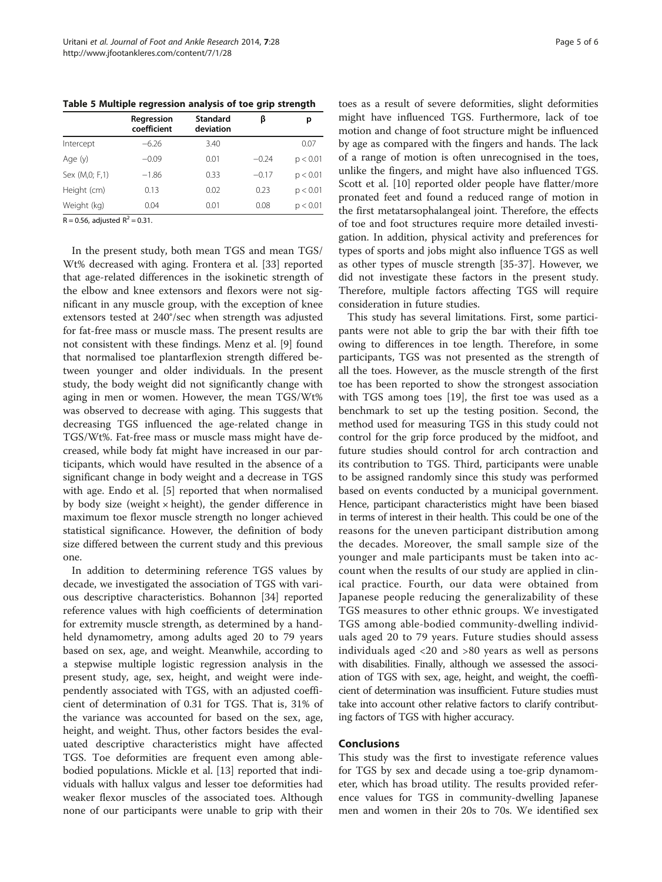<span id="page-4-0"></span>

|  |  |  | Table 5 Multiple regression analysis of toe grip strength |  |  |  |  |  |
|--|--|--|-----------------------------------------------------------|--|--|--|--|--|
|--|--|--|-----------------------------------------------------------|--|--|--|--|--|

| 3.40                                          |         | 0.07      |
|-----------------------------------------------|---------|-----------|
| 0.01                                          | $-0.24$ | p < 0.01  |
| 0.33                                          | $-0.17$ | p < 0.01  |
| 0.02                                          | 0.23    | p < 0.01  |
| 0.01                                          | 0.08    | p < 0.01  |
| $-6.26$<br>$-0.09$<br>$-1.86$<br>0.13<br>0.04 |         | $-2$ $-2$ |

 $R = 0.56$ , adjusted  $R^2 = 0.31$ .

In the present study, both mean TGS and mean TGS/ Wt% decreased with aging. Frontera et al. [[33\]](#page-5-0) reported that age-related differences in the isokinetic strength of the elbow and knee extensors and flexors were not significant in any muscle group, with the exception of knee extensors tested at 240°/sec when strength was adjusted for fat-free mass or muscle mass. The present results are not consistent with these findings. Menz et al. [\[9](#page-5-0)] found that normalised toe plantarflexion strength differed between younger and older individuals. In the present study, the body weight did not significantly change with aging in men or women. However, the mean TGS/Wt% was observed to decrease with aging. This suggests that decreasing TGS influenced the age-related change in TGS/Wt%. Fat-free mass or muscle mass might have decreased, while body fat might have increased in our participants, which would have resulted in the absence of a significant change in body weight and a decrease in TGS with age. Endo et al. [[5\]](#page-5-0) reported that when normalised by body size (weight  $\times$  height), the gender difference in maximum toe flexor muscle strength no longer achieved statistical significance. However, the definition of body size differed between the current study and this previous one.

In addition to determining reference TGS values by decade, we investigated the association of TGS with various descriptive characteristics. Bohannon [\[34](#page-5-0)] reported reference values with high coefficients of determination for extremity muscle strength, as determined by a handheld dynamometry, among adults aged 20 to 79 years based on sex, age, and weight. Meanwhile, according to a stepwise multiple logistic regression analysis in the present study, age, sex, height, and weight were independently associated with TGS, with an adjusted coefficient of determination of 0.31 for TGS. That is, 31% of the variance was accounted for based on the sex, age, height, and weight. Thus, other factors besides the evaluated descriptive characteristics might have affected TGS. Toe deformities are frequent even among ablebodied populations. Mickle et al. [[13\]](#page-5-0) reported that individuals with hallux valgus and lesser toe deformities had weaker flexor muscles of the associated toes. Although none of our participants were unable to grip with their

toes as a result of severe deformities, slight deformities might have influenced TGS. Furthermore, lack of toe motion and change of foot structure might be influenced by age as compared with the fingers and hands. The lack of a range of motion is often unrecognised in the toes, unlike the fingers, and might have also influenced TGS. Scott et al. [[10](#page-5-0)] reported older people have flatter/more pronated feet and found a reduced range of motion in the first metatarsophalangeal joint. Therefore, the effects of toe and foot structures require more detailed investigation. In addition, physical activity and preferences for types of sports and jobs might also influence TGS as well as other types of muscle strength [[35-37](#page-5-0)]. However, we did not investigate these factors in the present study. Therefore, multiple factors affecting TGS will require consideration in future studies.

This study has several limitations. First, some participants were not able to grip the bar with their fifth toe owing to differences in toe length. Therefore, in some participants, TGS was not presented as the strength of all the toes. However, as the muscle strength of the first toe has been reported to show the strongest association with TGS among toes [\[19](#page-5-0)], the first toe was used as a benchmark to set up the testing position. Second, the method used for measuring TGS in this study could not control for the grip force produced by the midfoot, and future studies should control for arch contraction and its contribution to TGS. Third, participants were unable to be assigned randomly since this study was performed based on events conducted by a municipal government. Hence, participant characteristics might have been biased in terms of interest in their health. This could be one of the reasons for the uneven participant distribution among the decades. Moreover, the small sample size of the younger and male participants must be taken into account when the results of our study are applied in clinical practice. Fourth, our data were obtained from Japanese people reducing the generalizability of these TGS measures to other ethnic groups. We investigated TGS among able-bodied community-dwelling individuals aged 20 to 79 years. Future studies should assess individuals aged <20 and >80 years as well as persons with disabilities. Finally, although we assessed the association of TGS with sex, age, height, and weight, the coefficient of determination was insufficient. Future studies must take into account other relative factors to clarify contributing factors of TGS with higher accuracy.

#### Conclusions

This study was the first to investigate reference values for TGS by sex and decade using a toe-grip dynamometer, which has broad utility. The results provided reference values for TGS in community-dwelling Japanese men and women in their 20s to 70s. We identified sex